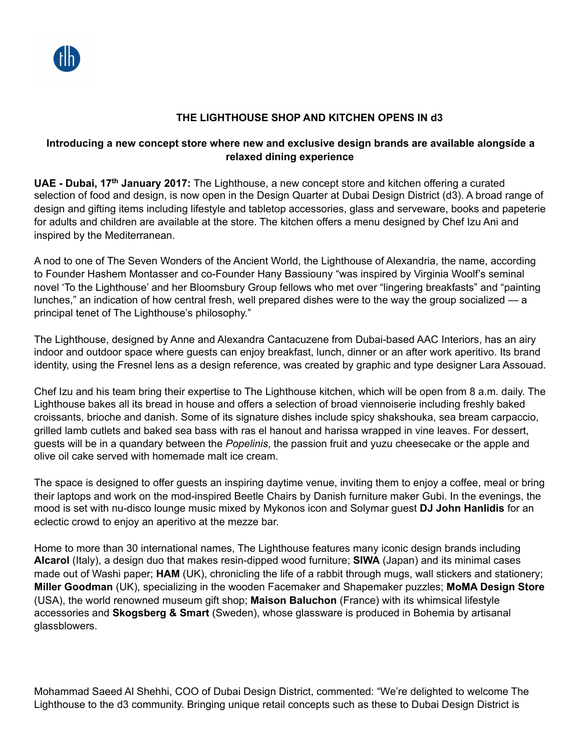## **THE LIGHTHOUSE SHOP AND KITCHEN OPENS IN d3**

## **Introducing a new concept store where new and exclusive design brands are available alongside a relaxed dining experience**

**UAE - Dubai, 17th January 2017:** The Lighthouse, a new concept store and kitchen offering a curated selection of food and design, is now open in the Design Quarter at Dubai Design District (d3). A broad range of design and gifting items including lifestyle and tabletop accessories, glass and serveware, books and papeterie for adults and children are available at the store. The kitchen offers a menu designed by Chef Izu Ani and inspired by the Mediterranean.

A nod to one of The Seven Wonders of the Ancient World, the Lighthouse of Alexandria, the name, according to Founder Hashem Montasser and co-Founder Hany Bassiouny "was inspired by Virginia Woolf's seminal novel 'To the Lighthouse' and her Bloomsbury Group fellows who met over "lingering breakfasts" and "painting lunches," an indication of how central fresh, well prepared dishes were to the way the group socialized — a principal tenet of The Lighthouse's philosophy."

The Lighthouse, designed by Anne and Alexandra Cantacuzene from Dubai-based AAC Interiors, has an airy indoor and outdoor space where guests can enjoy breakfast, lunch, dinner or an after work aperitivo. Its brand identity, using the Fresnel lens as a design reference, was created by graphic and type designer Lara Assouad.

Chef Izu and his team bring their expertise to The Lighthouse kitchen, which will be open from 8 a.m. daily. The Lighthouse bakes all its bread in house and offers a selection of broad viennoiserie including freshly baked croissants, brioche and danish. Some of its signature dishes include spicy shakshouka, sea bream carpaccio, grilled lamb cutlets and baked sea bass with ras el hanout and harissa wrapped in vine leaves. For dessert, guests will be in a quandary between the *Popelinis*, the passion fruit and yuzu cheesecake or the apple and olive oil cake served with homemade malt ice cream.

The space is designed to offer guests an inspiring daytime venue, inviting them to enjoy a coffee, meal or bring their laptops and work on the mod-inspired Beetle Chairs by Danish furniture maker Gubi. In the evenings, the mood is set with nu-disco lounge music mixed by Mykonos icon and Solymar guest **DJ John Hanlidis** for an eclectic crowd to enjoy an aperitivo at the mezze bar.

Home to more than 30 international names, The Lighthouse features many iconic design brands including **Alcarol** (Italy), a design duo that makes resin-dipped wood furniture; **SIWA** (Japan) and its minimal cases made out of Washi paper; **HAM** (UK), chronicling the life of a rabbit through mugs, wall stickers and stationery; **Miller Goodman** (UK), specializing in the wooden Facemaker and Shapemaker puzzles; **MoMA Design Store** (USA), the world renowned museum gift shop; **Maison Baluchon** (France) with its whimsical lifestyle accessories and **Skogsberg & Smart** (Sweden), whose glassware is produced in Bohemia by artisanal glassblowers.

Mohammad Saeed Al Shehhi, COO of Dubai Design District, commented: "We're delighted to welcome The Lighthouse to the d3 community. Bringing unique retail concepts such as these to Dubai Design District is